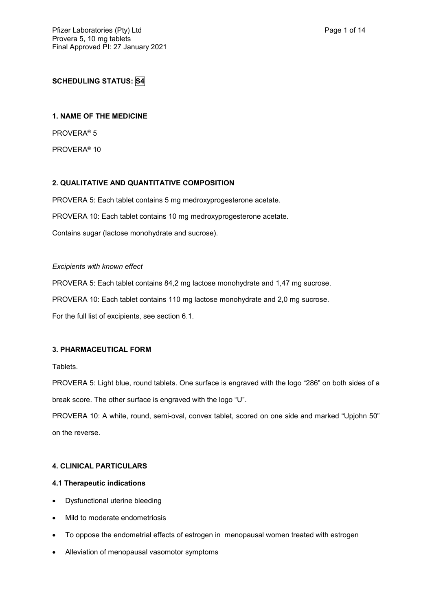# **SCHEDULING STATUS: S4**

### **1. NAME OF THE MEDICINE**

PROVERA® 5

PROVERA® 10

## **2. QUALITATIVE AND QUANTITATIVE COMPOSITION**

PROVERA 5: Each tablet contains 5 mg medroxyprogesterone acetate. PROVERA 10: Each tablet contains 10 mg medroxyprogesterone acetate. Contains sugar (lactose monohydrate and sucrose).

#### *Excipients with known effect*

PROVERA 5: Each tablet contains 84,2 mg lactose monohydrate and 1,47 mg sucrose. PROVERA 10: Each tablet contains 110 mg lactose monohydrate and 2,0 mg sucrose.

For the full list of excipients, see section 6.1.

### **3. PHARMACEUTICAL FORM**

Tablets.

PROVERA 5: Light blue, round tablets. One surface is engraved with the logo "286" on both sides of a break score. The other surface is engraved with the logo "U".

PROVERA 10: A white, round, semi-oval, convex tablet, scored on one side and marked "Upjohn 50" on the reverse.

## **4. CLINICAL PARTICULARS**

### **4.1 Therapeutic indications**

- Dysfunctional uterine bleeding
- Mild to moderate endometriosis
- To oppose the endometrial effects of estrogen in menopausal women treated with estrogen
- Alleviation of menopausal vasomotor symptoms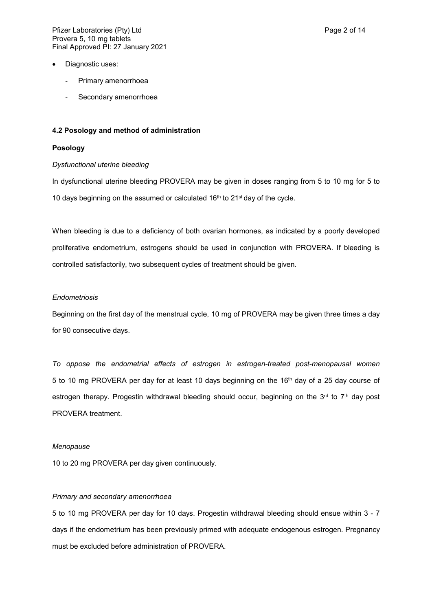- Diagnostic uses:
	- Primary amenorrhoea
	- Secondary amenorrhoea

#### **4.2 Posology and method of administration**

### **Posology**

#### *Dysfunctional uterine bleeding*

In dysfunctional uterine bleeding PROVERA may be given in doses ranging from 5 to 10 mg for 5 to 10 days beginning on the assumed or calculated  $16<sup>th</sup>$  to  $21<sup>st</sup>$  day of the cycle.

When bleeding is due to a deficiency of both ovarian hormones, as indicated by a poorly developed proliferative endometrium, estrogens should be used in conjunction with PROVERA. If bleeding is controlled satisfactorily, two subsequent cycles of treatment should be given.

#### *Endometriosis*

Beginning on the first day of the menstrual cycle, 10 mg of PROVERA may be given three times a day for 90 consecutive days.

*To oppose the endometrial effects of estrogen in estrogen-treated post-menopausal women* 5 to 10 mg PROVERA per day for at least 10 days beginning on the 16th day of a 25 day course of estrogen therapy. Progestin withdrawal bleeding should occur, beginning on the  $3<sup>rd</sup>$  to  $7<sup>th</sup>$  day post PROVERA treatment.

#### *Menopause*

10 to 20 mg PROVERA per day given continuously.

#### *Primary and secondary amenorrhoea*

5 to 10 mg PROVERA per day for 10 days. Progestin withdrawal bleeding should ensue within 3 - 7 days if the endometrium has been previously primed with adequate endogenous estrogen. Pregnancy must be excluded before administration of PROVERA.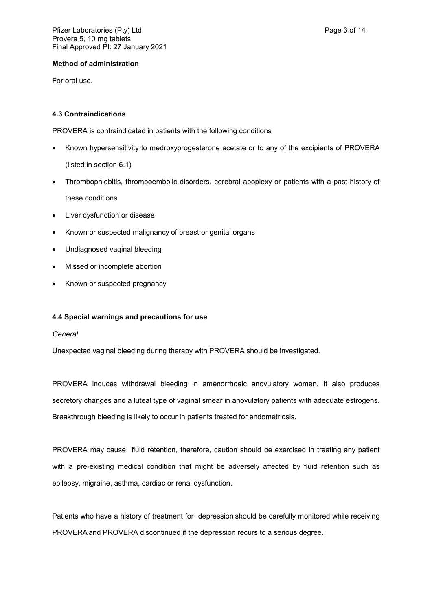### **Method of administration**

For oral use.

## **4.3 Contraindications**

PROVERA is contraindicated in patients with the following conditions

- Known hypersensitivity to medroxyprogesterone acetate or to any of the excipients of PROVERA (listed in section 6.1)
- Thrombophlebitis, thromboembolic disorders, cerebral apoplexy or patients with a past history of these conditions
- Liver dysfunction or disease
- Known or suspected malignancy of breast or genital organs
- Undiagnosed vaginal bleeding
- Missed or incomplete abortion
- Known or suspected pregnancy

## **4.4 Special warnings and precautions for use**

### *General*

Unexpected vaginal bleeding during therapy with PROVERA should be investigated.

PROVERA induces withdrawal bleeding in amenorrhoeic anovulatory women. It also produces secretory changes and a luteal type of vaginal smear in anovulatory patients with adequate estrogens. Breakthrough bleeding is likely to occur in patients treated for endometriosis.

PROVERA may cause fluid retention, therefore, caution should be exercised in treating any patient with a pre-existing medical condition that might be adversely affected by fluid retention such as epilepsy, migraine, asthma, cardiac or renal dysfunction.

Patients who have a history of treatment for depression should be carefully monitored while receiving PROVERA and PROVERA discontinued if the depression recurs to a serious degree.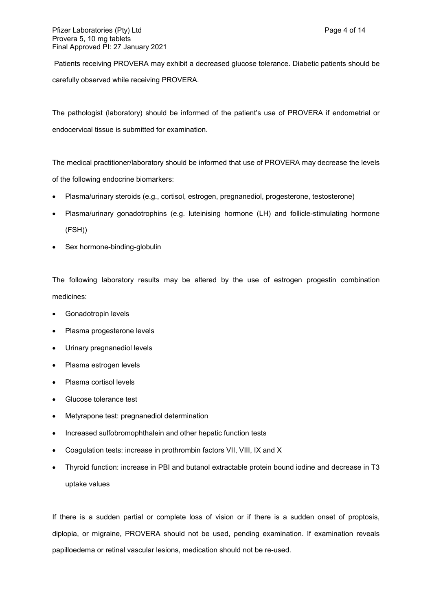Patients receiving PROVERA may exhibit a decreased glucose tolerance. Diabetic patients should be carefully observed while receiving PROVERA.

The pathologist (laboratory) should be informed of the patient's use of PROVERA if endometrial or endocervical tissue is submitted for examination.

The medical practitioner/laboratory should be informed that use of PROVERA may decrease the levels of the following endocrine biomarkers:

- Plasma/urinary steroids (e.g., cortisol, estrogen, pregnanediol, progesterone, testosterone)
- Plasma/urinary gonadotrophins (e.g. luteinising hormone (LH) and follicle-stimulating hormone (FSH))
- Sex hormone-binding-globulin

The following laboratory results may be altered by the use of estrogen progestin combination medicines:

- Gonadotropin levels
- Plasma progesterone levels
- Urinary pregnanediol levels
- Plasma estrogen levels
- Plasma cortisol levels
- Glucose tolerance test
- Metyrapone test: pregnanediol determination
- Increased sulfobromophthalein and other hepatic function tests
- Coagulation tests: increase in prothrombin factors VII, VIII, IX and X
- Thyroid function: increase in PBI and butanol extractable protein bound iodine and decrease in T3 uptake values

If there is a sudden partial or complete loss of vision or if there is a sudden onset of proptosis, diplopia, or migraine, PROVERA should not be used, pending examination. If examination reveals papilloedema or retinal vascular lesions, medication should not be re-used.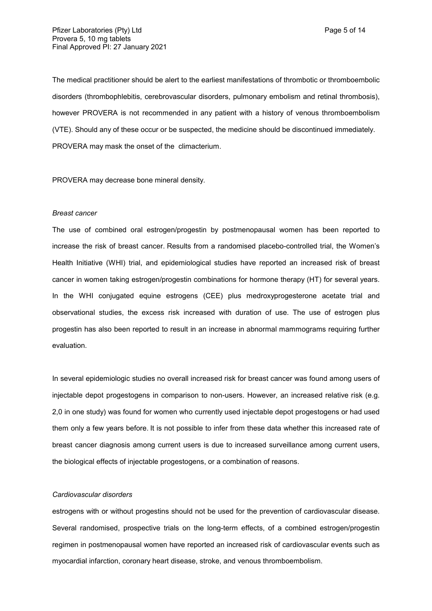The medical practitioner should be alert to the earliest manifestations of thrombotic or thromboembolic disorders (thrombophlebitis, cerebrovascular disorders, pulmonary embolism and retinal thrombosis), however PROVERA is not recommended in any patient with a history of venous thromboembolism (VTE). Should any of these occur or be suspected, the medicine should be discontinued immediately. PROVERA may mask the onset of the climacterium.

PROVERA may decrease bone mineral density.

#### *Breast cancer*

The use of combined oral estrogen/progestin by postmenopausal women has been reported to increase the risk of breast cancer. Results from a randomised placebo-controlled trial, the Women's Health Initiative (WHI) trial, and epidemiological studies have reported an increased risk of breast cancer in women taking estrogen/progestin combinations for hormone therapy (HT) for several years. In the WHI conjugated equine estrogens (CEE) plus medroxyprogesterone acetate trial and observational studies, the excess risk increased with duration of use. The use of estrogen plus progestin has also been reported to result in an increase in abnormal mammograms requiring further evaluation.

In several epidemiologic studies no overall increased risk for breast cancer was found among users of injectable depot progestogens in comparison to non-users. However, an increased relative risk (e.g. 2,0 in one study) was found for women who currently used injectable depot progestogens or had used them only a few years before. It is not possible to infer from these data whether this increased rate of breast cancer diagnosis among current users is due to increased surveillance among current users, the biological effects of injectable progestogens, or a combination of reasons.

#### *Cardiovascular disorders*

estrogens with or without progestins should not be used for the prevention of cardiovascular disease. Several randomised, prospective trials on the long-term effects, of a combined estrogen/progestin regimen in postmenopausal women have reported an increased risk of cardiovascular events such as myocardial infarction, coronary heart disease, stroke, and venous thromboembolism.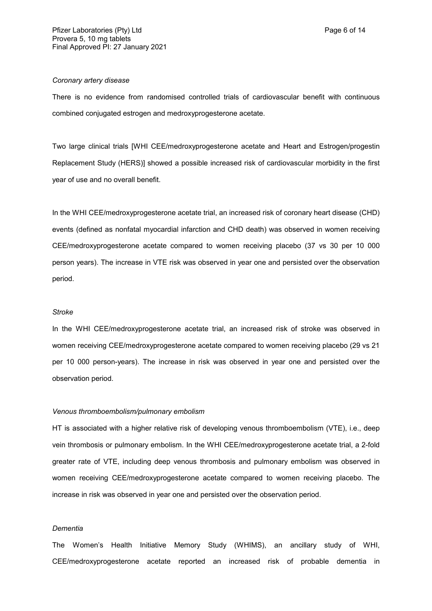### *Coronary artery disease*

There is no evidence from randomised controlled trials of cardiovascular benefit with continuous combined conjugated estrogen and medroxyprogesterone acetate.

Two large clinical trials [WHI CEE/medroxyprogesterone acetate and Heart and Estrogen/progestin Replacement Study (HERS)] showed a possible increased risk of cardiovascular morbidity in the first year of use and no overall benefit.

In the WHI CEE/medroxyprogesterone acetate trial, an increased risk of coronary heart disease (CHD) events (defined as nonfatal myocardial infarction and CHD death) was observed in women receiving CEE/medroxyprogesterone acetate compared to women receiving placebo (37 vs 30 per 10 000 person years). The increase in VTE risk was observed in year one and persisted over the observation period.

#### *Stroke*

In the WHI CEE/medroxyprogesterone acetate trial, an increased risk of stroke was observed in women receiving CEE/medroxyprogesterone acetate compared to women receiving placebo (29 vs 21 per 10 000 person-years). The increase in risk was observed in year one and persisted over the observation period.

#### *Venous thromboembolism/pulmonary embolism*

HT is associated with a higher relative risk of developing venous thromboembolism (VTE), i.e., deep vein thrombosis or pulmonary embolism. In the WHI CEE/medroxyprogesterone acetate trial, a 2-fold greater rate of VTE, including deep venous thrombosis and pulmonary embolism was observed in women receiving CEE/medroxyprogesterone acetate compared to women receiving placebo. The increase in risk was observed in year one and persisted over the observation period.

#### *Dementia*

The Women's Health Initiative Memory Study (WHIMS), an ancillary study of WHI, CEE/medroxyprogesterone acetate reported an increased risk of probable dementia in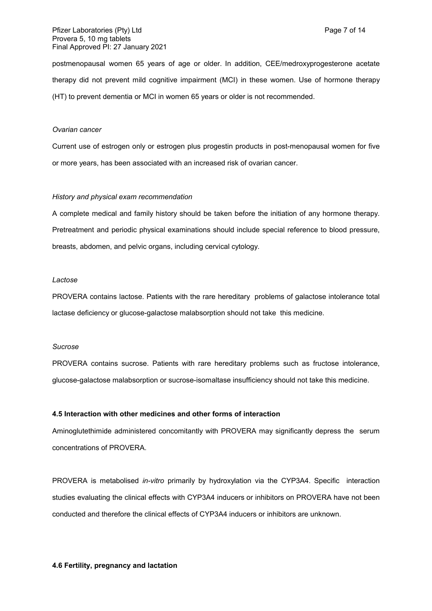postmenopausal women 65 years of age or older. In addition, CEE/medroxyprogesterone acetate therapy did not prevent mild cognitive impairment (MCI) in these women. Use of hormone therapy (HT) to prevent dementia or MCI in women 65 years or older is not recommended.

#### *Ovarian cancer*

Current use of estrogen only or estrogen plus progestin products in post-menopausal women for five or more years, has been associated with an increased risk of ovarian cancer.

#### *History and physical exam recommendation*

A complete medical and family history should be taken before the initiation of any hormone therapy. Pretreatment and periodic physical examinations should include special reference to blood pressure, breasts, abdomen, and pelvic organs, including cervical cytology.

#### *Lactose*

PROVERA contains lactose. Patients with the rare hereditary problems of galactose intolerance total lactase deficiency or glucose-galactose malabsorption should not take this medicine.

#### *Sucrose*

PROVERA contains sucrose. Patients with rare hereditary problems such as fructose intolerance, glucose-galactose malabsorption or sucrose-isomaltase insufficiency should not take this medicine.

### **4.5 Interaction with other medicines and other forms of interaction**

Aminoglutethimide administered concomitantly with PROVERA may significantly depress the serum concentrations of PROVERA.

PROVERA is metabolised *in-vitro* primarily by hydroxylation via the CYP3A4. Specific interaction studies evaluating the clinical effects with CYP3A4 inducers or inhibitors on PROVERA have not been conducted and therefore the clinical effects of CYP3A4 inducers or inhibitors are unknown.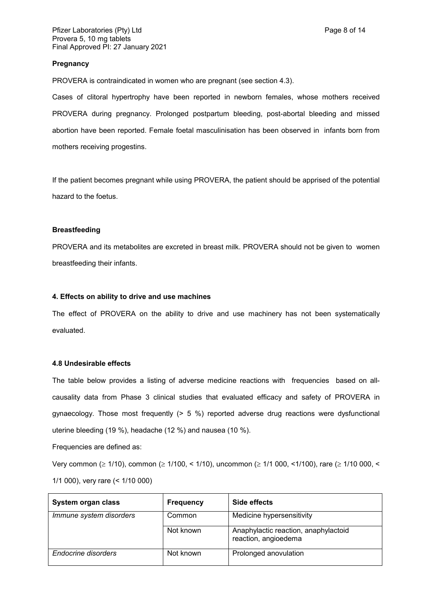### **Pregnancy**

PROVERA is contraindicated in women who are pregnant (see section 4.3).

Cases of clitoral hypertrophy have been reported in newborn females, whose mothers received PROVERA during pregnancy. Prolonged postpartum bleeding, post-abortal bleeding and missed abortion have been reported. Female foetal masculinisation has been observed in infants born from mothers receiving progestins.

If the patient becomes pregnant while using PROVERA, the patient should be apprised of the potential hazard to the foetus.

#### **Breastfeeding**

PROVERA and its metabolites are excreted in breast milk. PROVERA should not be given to women breastfeeding their infants.

#### **4. Effects on ability to drive and use machines**

The effect of PROVERA on the ability to drive and use machinery has not been systematically evaluated.

### **4.8 Undesirable effects**

The table below provides a listing of adverse medicine reactions with frequencies based on allcausality data from Phase 3 clinical studies that evaluated efficacy and safety of PROVERA in gynaecology. Those most frequently (> 5 %) reported adverse drug reactions were dysfunctional uterine bleeding (19 %), headache (12 %) and nausea (10 %).

Frequencies are defined as:

Very common ( $\geq 1/10$ ), common ( $\geq 1/100$ , < 1/10), uncommon ( $\geq 1/1000$ , <1/100), rare ( $\geq 1/10000$ , < 1/1 000), very rare (< 1/10 000)

| System organ class      | <b>Frequency</b> | Side effects                                                 |
|-------------------------|------------------|--------------------------------------------------------------|
| Immune system disorders | Common           | Medicine hypersensitivity                                    |
|                         | Not known        | Anaphylactic reaction, anaphylactoid<br>reaction, angioedema |
| Endocrine disorders     | Not known        | Prolonged anovulation                                        |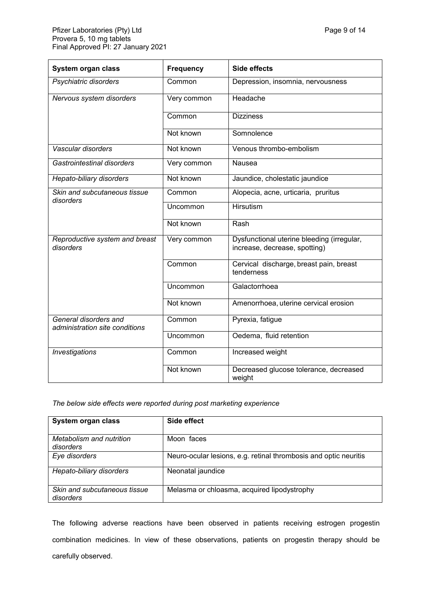| Final Approved PI: 27 January 2021                      |                  |                                                                             |  |
|---------------------------------------------------------|------------------|-----------------------------------------------------------------------------|--|
| System organ class                                      | <b>Frequency</b> | Side effects                                                                |  |
| Psychiatric disorders                                   | Common           | Depression, insomnia, nervousness                                           |  |
| Nervous system disorders                                | Very common      | Headache                                                                    |  |
|                                                         | Common           | <b>Dizziness</b>                                                            |  |
|                                                         | Not known        | Somnolence                                                                  |  |
| Vascular disorders                                      | Not known        | Venous thrombo-embolism                                                     |  |
| Gastrointestinal disorders                              | Very common      | Nausea                                                                      |  |
| Hepato-biliary disorders                                | Not known        | Jaundice, cholestatic jaundice                                              |  |
| Skin and subcutaneous tissue<br>disorders               | Common           | Alopecia, acne, urticaria, pruritus                                         |  |
|                                                         | Uncommon         | <b>Hirsutism</b>                                                            |  |
|                                                         | Not known        | Rash                                                                        |  |
| Reproductive system and breast<br>disorders             | Very common      | Dysfunctional uterine bleeding (irregular,<br>increase, decrease, spotting) |  |
|                                                         | Common           | Cervical discharge, breast pain, breast<br>tenderness                       |  |
|                                                         | Uncommon         | Galactorrhoea                                                               |  |
|                                                         | Not known        | Amenorrhoea, uterine cervical erosion                                       |  |
| General disorders and<br>administration site conditions | Common           | Pyrexia, fatigue                                                            |  |
|                                                         | Uncommon         | Oedema, fluid retention                                                     |  |
| Investigations                                          | Common           | Increased weight                                                            |  |

### *The below side effects were reported during post marketing experience*

| System organ class                        | Side effect                                                      |
|-------------------------------------------|------------------------------------------------------------------|
| Metabolism and nutrition<br>disorders     | Moon faces                                                       |
| Eye disorders                             | Neuro-ocular lesions, e.g. retinal thrombosis and optic neuritis |
| Hepato-biliary disorders                  | Neonatal jaundice                                                |
| Skin and subcutaneous tissue<br>disorders | Melasma or chloasma, acquired lipodystrophy                      |

Not known Decreased glucose tolerance, decreased

weight

The following adverse reactions have been observed in patients receiving estrogen progestin combination medicines. In view of these observations, patients on progestin therapy should be carefully observed.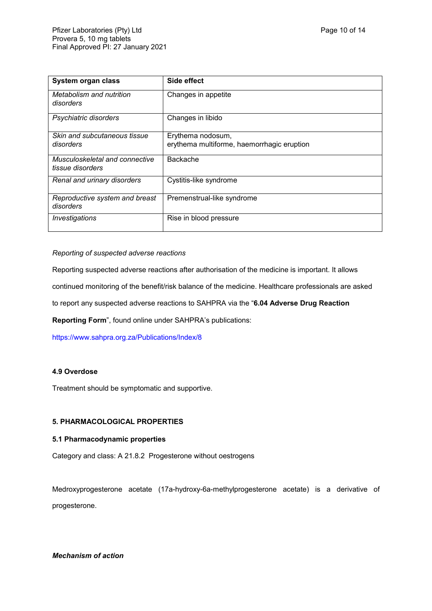| System organ class                                 | Side effect                                                     |
|----------------------------------------------------|-----------------------------------------------------------------|
| Metabolism and nutrition<br>disorders              | Changes in appetite                                             |
| Psychiatric disorders                              | Changes in libido                                               |
| Skin and subcutaneous tissue<br>disorders          | Erythema nodosum,<br>erythema multiforme, haemorrhagic eruption |
| Musculoskeletal and connective<br>tissue disorders | <b>Backache</b>                                                 |
| Renal and urinary disorders                        | Cystitis-like syndrome                                          |
| Reproductive system and breast<br>disorders        | Premenstrual-like syndrome                                      |
| Investigations                                     | Rise in blood pressure                                          |

### *Reporting of suspected adverse reactions*

Reporting suspected adverse reactions after authorisation of the medicine is important. It allows

continued monitoring of the benefit/risk balance of the medicine. Healthcare professionals are asked

to report any suspected adverse reactions to SAHPRA via the "**6.04 Adverse Drug Reaction** 

**Reporting Form**", found online under SAHPRA's publications:

<https://www.sahpra.org.za/Publications/Index/8>

## **4.9 Overdose**

Treatment should be symptomatic and supportive.

### **5. PHARMACOLOGICAL PROPERTIES**

#### **5.1 Pharmacodynamic properties**

Category and class: A 21.8.2 Progesterone without oestrogens

Medroxyprogesterone acetate (17a-hydroxy-6a-methylprogesterone acetate) is a derivative of progesterone.

*Mechanism of action*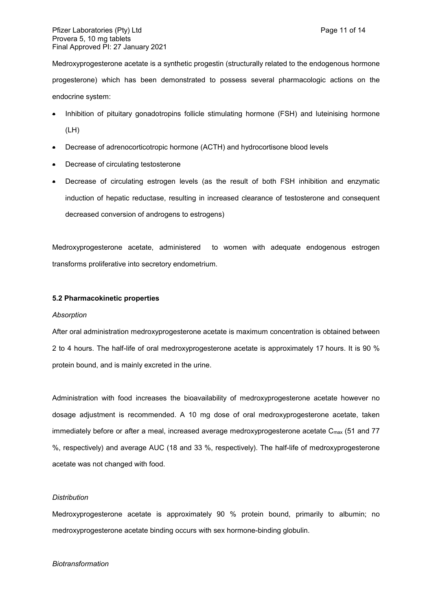Pfizer Laboratories (Pty) Ltd **Page 11 of 14** Page 11 of 14 Provera 5, 10 mg tablets Final Approved PI: 27 January 2021

Medroxyprogesterone acetate is a synthetic progestin (structurally related to the endogenous hormone progesterone) which has been demonstrated to possess several pharmacologic actions on the endocrine system:

- Inhibition of pituitary gonadotropins follicle stimulating hormone (FSH) and luteinising hormone (LH)
- Decrease of adrenocorticotropic hormone (ACTH) and hydrocortisone blood levels
- Decrease of circulating testosterone
- Decrease of circulating estrogen levels (as the result of both FSH inhibition and enzymatic induction of hepatic reductase, resulting in increased clearance of testosterone and consequent decreased conversion of androgens to estrogens)

Medroxyprogesterone acetate, administered to women with adequate endogenous estrogen transforms proliferative into secretory endometrium.

#### **5.2 Pharmacokinetic properties**

#### *Absorption*

After oral administration medroxyprogesterone acetate is maximum concentration is obtained between 2 to 4 hours. The half-life of oral medroxyprogesterone acetate is approximately 17 hours. It is 90 % protein bound, and is mainly excreted in the urine.

Administration with food increases the bioavailability of medroxyprogesterone acetate however no dosage adjustment is recommended. A 10 mg dose of oral medroxyprogesterone acetate, taken immediately before or after a meal, increased average medroxyprogesterone acetate C<sub>max</sub> (51 and 77 %, respectively) and average AUC (18 and 33 %, respectively). The half-life of medroxyprogesterone acetate was not changed with food.

### *Distribution*

Medroxyprogesterone acetate is approximately 90 % protein bound, primarily to albumin; no medroxyprogesterone acetate binding occurs with sex hormone-binding globulin.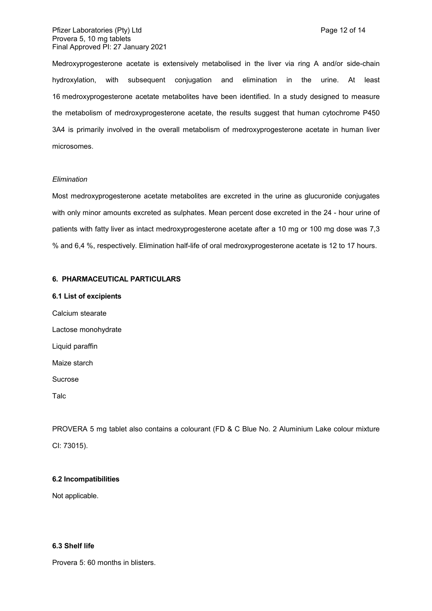Medroxyprogesterone acetate is extensively metabolised in the liver via ring A and/or side-chain hydroxylation, with subsequent conjugation and elimination in the urine. At least 16 medroxyprogesterone acetate metabolites have been identified. In a study designed to measure the metabolism of medroxyprogesterone acetate, the results suggest that human cytochrome P450 3A4 is primarily involved in the overall metabolism of medroxyprogesterone acetate in human liver microsomes.

#### *Elimination*

Most medroxyprogesterone acetate metabolites are excreted in the urine as glucuronide conjugates with only minor amounts excreted as sulphates. Mean percent dose excreted in the 24 - hour urine of patients with fatty liver as intact medroxyprogesterone acetate after a 10 mg or 100 mg dose was 7,3 % and 6,4 %, respectively. Elimination half-life of oral medroxyprogesterone acetate is 12 to 17 hours.

#### **6. PHARMACEUTICAL PARTICULARS**

#### **6.1 List of excipients**

Calcium stearate Lactose monohydrate Liquid paraffin Maize starch Sucrose Talc

PROVERA 5 mg tablet also contains a colourant (FD & C Blue No. 2 Aluminium Lake colour mixture CI: 73015).

### **6.2 Incompatibilities**

Not applicable.

#### **6.3 Shelf life**

Provera 5: 60 months in blisters.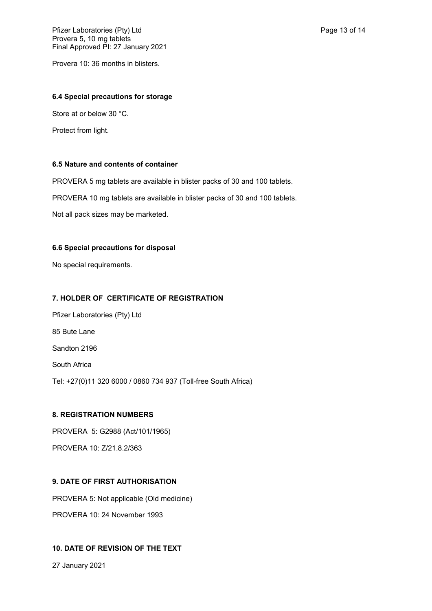Provera 10: 36 months in blisters.

#### **6.4 Special precautions for storage**

Store at or below 30 °C.

Protect from light.

### **6.5 Nature and contents of container**

PROVERA 5 mg tablets are available in blister packs of 30 and 100 tablets.

PROVERA 10 mg tablets are available in blister packs of 30 and 100 tablets.

Not all pack sizes may be marketed.

### **6.6 Special precautions for disposal**

No special requirements.

## **7. HOLDER OF CERTIFICATE OF REGISTRATION**

Pfizer Laboratories (Pty) Ltd 85 Bute Lane Sandton 2196 South Africa Tel: +27(0)11 320 6000 / 0860 734 937 (Toll-free South Africa)

## **8. REGISTRATION NUMBERS**

PROVERA 5: G2988 (Act/101/1965) PROVERA 10: Z/21.8.2/363

## **9. DATE OF FIRST AUTHORISATION**

PROVERA 5: Not applicable (Old medicine) PROVERA 10: 24 November 1993

## **10. DATE OF REVISION OF THE TEXT**

27 January 2021